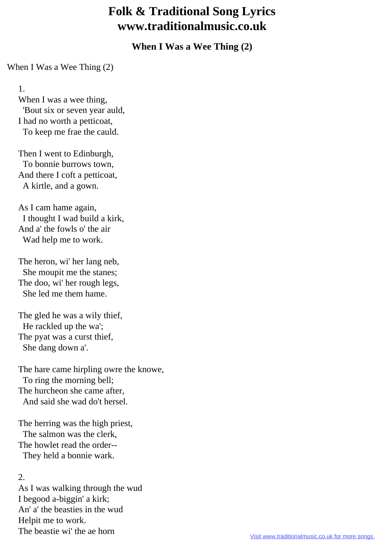## **Folk & Traditional Song Lyrics www.traditionalmusic.co.uk**

**When I Was a Wee Thing (2)**

When I Was a Wee Thing (2)

1.

When I was a wee thing, 'Bout six or seven year auld, I had no worth a petticoat, To keep me frae the cauld.

 Then I went to Edinburgh, To bonnie burrows town, And there I coft a petticoat, A kirtle, and a gown.

 As I cam hame again, I thought I wad build a kirk, And a' the fowls o' the air Wad help me to work.

 The heron, wi' her lang neb, She moupit me the stanes; The doo, wi' her rough legs, She led me them hame.

 The gled he was a wily thief, He rackled up the wa'; The pyat was a curst thief, She dang down a'.

 The hare came hirpling owre the knowe, To ring the morning bell; The hurcheon she came after, And said she wad do't hersel.

 The herring was the high priest, The salmon was the clerk, The howlet read the order-- They held a bonnie wark.

2.

 As I was walking through the wud I begood a-biggin' a kirk; An' a' the beasties in the wud Helpit me to work. The beastie wi' the ae horn